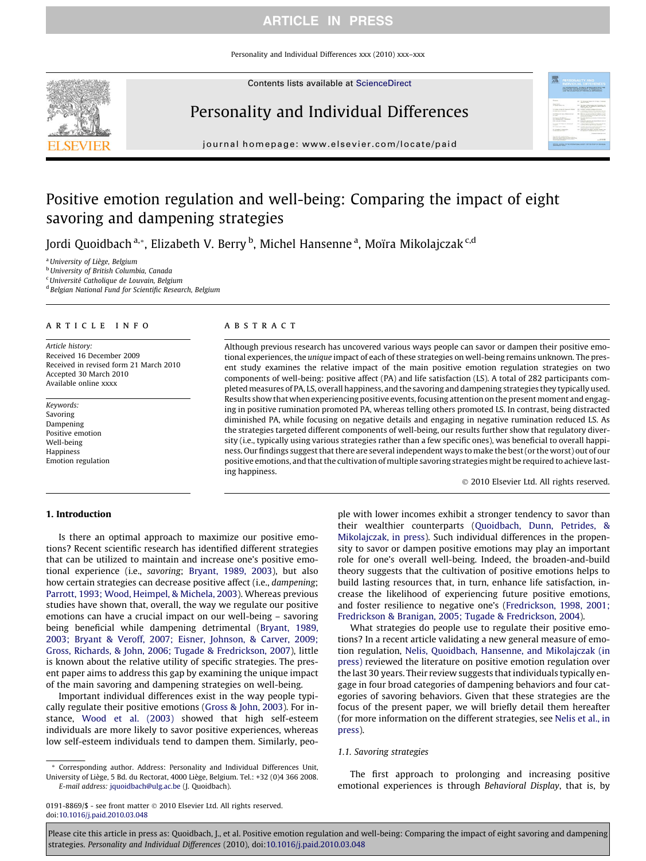### ARTICLE IN PRESS

Personality and Individual Differences xxx (2010) xxx–xxx





# Personality and Individual Differences

journal homepage: [www.elsevier.com/locate/paid](http://www.elsevier.com/locate/paid)

# Positive emotion regulation and well-being: Comparing the impact of eight savoring and dampening strategies

Jordi Quoidbach <sup>a,</sup>\*, Elizabeth V. Berry <sup>b</sup>, Michel Hansenne <sup>a</sup>, Moïra Mikolajczak <sup>c,d</sup>

<sup>a</sup> University of Liège, Belgium

**b** University of British Columbia, Canada

<sup>c</sup> Université Catholique de Louvain, Belgium

<sup>d</sup> Belgian National Fund for Scientific Research, Belgium

#### article info

Article history: Received 16 December 2009 Received in revised form 21 March 2010 Accepted 30 March 2010 Available online xxxx

Keywords: Savoring Dampening Positive emotion Well-being Happiness Emotion regulation

#### **ABSTRACT**

Although previous research has uncovered various ways people can savor or dampen their positive emotional experiences, the unique impact of each of these strategies on well-being remains unknown. The present study examines the relative impact of the main positive emotion regulation strategies on two components of well-being: positive affect (PA) and life satisfaction (LS). A total of 282 participants completed measures of PA, LS, overall happiness, and the savoring and dampening strategies they typically used. Results show that when experiencing positive events, focusing attention on the present moment and engaging in positive rumination promoted PA, whereas telling others promoted LS. In contrast, being distracted diminished PA, while focusing on negative details and engaging in negative rumination reduced LS. As the strategies targeted different components of well-being, our results further show that regulatory diversity (i.e., typically using various strategies rather than a few specific ones), was beneficial to overall happiness. Our findings suggest that there are several independent ways to make the best (or the worst) out of our positive emotions, and that the cultivation of multiple savoring strategies might be required to achieve lasting happiness.

- 2010 Elsevier Ltd. All rights reserved.

**CONTRACTOR** 

#### 1. Introduction

Is there an optimal approach to maximize our positive emotions? Recent scientific research has identified different strategies that can be utilized to maintain and increase one's positive emotional experience (i.e., savoring; [Bryant, 1989, 2003](#page-4-0)), but also how certain strategies can decrease positive affect (i.e., dampening; [Parrott, 1993; Wood, Heimpel, & Michela, 2003](#page-4-0)). Whereas previous studies have shown that, overall, the way we regulate our positive emotions can have a crucial impact on our well-being – savoring being beneficial while dampening detrimental ([Bryant, 1989,](#page-4-0) [2003; Bryant & Veroff, 2007; Eisner, Johnson, & Carver, 2009;](#page-4-0) [Gross, Richards, & John, 2006; Tugade & Fredrickson, 2007\)](#page-4-0), little is known about the relative utility of specific strategies. The present paper aims to address this gap by examining the unique impact of the main savoring and dampening strategies on well-being.

Important individual differences exist in the way people typically regulate their positive emotions [\(Gross & John, 2003](#page-4-0)). For instance, [Wood et al. \(2003\)](#page-5-0) showed that high self-esteem individuals are more likely to savor positive experiences, whereas low self-esteem individuals tend to dampen them. Similarly, peo-

\* Corresponding author. Address: Personality and Individual Differences Unit, University of Liège, 5 Bd. du Rectorat, 4000 Liège, Belgium. Tel.: +32 (0)4 366 2008. E-mail address: [jquoidbach@ulg.ac.be](mailto:jquoidbach@ulg.ac.be) (J. Quoidbach).

ple with lower incomes exhibit a stronger tendency to savor than their wealthier counterparts [\(Quoidbach, Dunn, Petrides, &](#page-4-0) [Mikolajczak, in press\)](#page-4-0). Such individual differences in the propensity to savor or dampen positive emotions may play an important role for one's overall well-being. Indeed, the broaden-and-build theory suggests that the cultivation of positive emotions helps to build lasting resources that, in turn, enhance life satisfaction, increase the likelihood of experiencing future positive emotions, and foster resilience to negative one's ([Fredrickson, 1998, 2001;](#page-4-0) [Fredrickson & Branigan, 2005; Tugade & Fredrickson, 2004\)](#page-4-0).

What strategies do people use to regulate their positive emotions? In a recent article validating a new general measure of emotion regulation, [Nelis, Quoidbach, Hansenne, and Mikolajczak \(in](#page-4-0) [press\)](#page-4-0) reviewed the literature on positive emotion regulation over the last 30 years. Their review suggests that individuals typically engage in four broad categories of dampening behaviors and four categories of savoring behaviors. Given that these strategies are the focus of the present paper, we will briefly detail them hereafter (for more information on the different strategies, see [Nelis et al., in](#page-4-0) [press](#page-4-0)).

#### 1.1. Savoring strategies

The first approach to prolonging and increasing positive emotional experiences is through Behavioral Display, that is, by

<sup>0191-8869/\$ -</sup> see front matter © 2010 Elsevier Ltd. All rights reserved. doi[:10.1016/j.paid.2010.03.048](http://dx.doi.org/10.1016/j.paid.2010.03.048)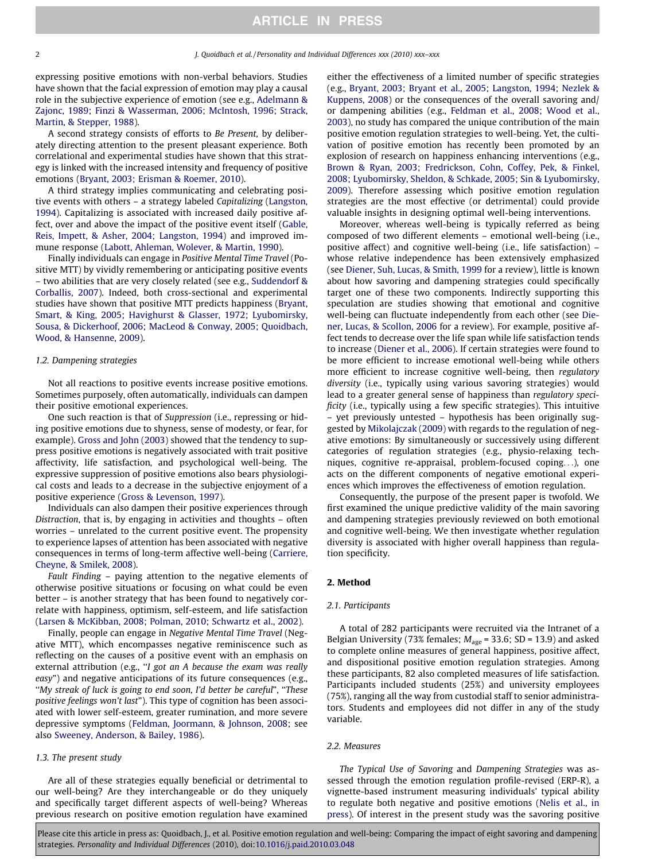#### 2 J. Quoidbach et al. / Personality and Individual Differences xxx (2010) xxx–xxx

expressing positive emotions with non-verbal behaviors. Studies have shown that the facial expression of emotion may play a causal role in the subjective experience of emotion (see e.g., [Adelmann &](#page-4-0) [Zajonc, 1989; Finzi & Wasserman, 2006; McIntosh, 1996; Strack,](#page-4-0) [Martin, & Stepper, 1988\)](#page-4-0).

A second strategy consists of efforts to Be Present, by deliberately directing attention to the present pleasant experience. Both correlational and experimental studies have shown that this strategy is linked with the increased intensity and frequency of positive emotions ([Bryant, 2003; Erisman & Roemer, 2010\)](#page-4-0).

A third strategy implies communicating and celebrating positive events with others – a strategy labeled Capitalizing ([Langston,](#page-4-0) [1994\)](#page-4-0). Capitalizing is associated with increased daily positive affect, over and above the impact of the positive event itself [\(Gable,](#page-4-0) [Reis, Impett, & Asher, 2004; Langston, 1994\)](#page-4-0) and improved immune response [\(Labott, Ahleman, Wolever, & Martin, 1990\)](#page-4-0).

Finally individuals can engage in Positive Mental Time Travel (Positive MTT) by vividly remembering or anticipating positive events – two abilities that are very closely related (see e.g., [Suddendorf &](#page-4-0) [Corballis, 2007\)](#page-4-0). Indeed, both cross-sectional and experimental studies have shown that positive MTT predicts happiness ([Bryant,](#page-4-0) [Smart, & King, 2005; Havighurst & Glasser, 1972; Lyubomirsky,](#page-4-0) [Sousa, & Dickerhoof, 2006; MacLeod & Conway, 2005; Quoidbach,](#page-4-0) [Wood, & Hansenne, 2009\)](#page-4-0).

#### 1.2. Dampening strategies

Not all reactions to positive events increase positive emotions. Sometimes purposely, often automatically, individuals can dampen their positive emotional experiences.

One such reaction is that of Suppression (i.e., repressing or hiding positive emotions due to shyness, sense of modesty, or fear, for example). [Gross and John \(2003\)](#page-4-0) showed that the tendency to suppress positive emotions is negatively associated with trait positive affectivity, life satisfaction, and psychological well-being. The expressive suppression of positive emotions also bears physiological costs and leads to a decrease in the subjective enjoyment of a positive experience ([Gross & Levenson, 1997\)](#page-4-0).

Individuals can also dampen their positive experiences through Distraction, that is, by engaging in activities and thoughts – often worries – unrelated to the current positive event. The propensity to experience lapses of attention has been associated with negative consequences in terms of long-term affective well-being ([Carriere,](#page-4-0) [Cheyne, & Smilek, 2008](#page-4-0)).

Fault Finding – paying attention to the negative elements of otherwise positive situations or focusing on what could be even better – is another strategy that has been found to negatively correlate with happiness, optimism, self-esteem, and life satisfaction ([Larsen & McKibban, 2008; Polman, 2010; Schwartz et al., 2002](#page-4-0)).

Finally, people can engage in Negative Mental Time Travel (Negative MTT), which encompasses negative reminiscence such as reflecting on the causes of a positive event with an emphasis on external attribution (e.g., "I got an A because the exam was really easy") and negative anticipations of its future consequences (e.g., ''My streak of luck is going to end soon, I'd better be careful", ''These positive feelings won't last"). This type of cognition has been associated with lower self-esteem, greater rumination, and more severe depressive symptoms [\(Feldman, Joormann, & Johnson, 2008](#page-4-0); see also [Sweeney, Anderson, & Bailey, 1986\)](#page-4-0).

#### 1.3. The present study

Are all of these strategies equally beneficial or detrimental to our well-being? Are they interchangeable or do they uniquely and specifically target different aspects of well-being? Whereas previous research on positive emotion regulation have examined

either the effectiveness of a limited number of specific strategies (e.g., [Bryant, 2003; Bryant et al., 2005; Langston, 1994; Nezlek &](#page-4-0) [Kuppens, 2008](#page-4-0)) or the consequences of the overall savoring and/ or dampening abilities (e.g., [Feldman et al., 2008; Wood et al.,](#page-4-0) [2003\)](#page-4-0), no study has compared the unique contribution of the main positive emotion regulation strategies to well-being. Yet, the cultivation of positive emotion has recently been promoted by an explosion of research on happiness enhancing interventions (e.g., [Brown & Ryan, 2003; Fredrickson, Cohn, Coffey, Pek, & Finkel,](#page-4-0) [2008; Lyubomirsky, Sheldon, & Schkade, 2005; Sin & Lyubomirsky,](#page-4-0) [2009\)](#page-4-0). Therefore assessing which positive emotion regulation strategies are the most effective (or detrimental) could provide valuable insights in designing optimal well-being interventions.

Moreover, whereas well-being is typically referred as being composed of two different elements – emotional well-being (i.e., positive affect) and cognitive well-being (i.e., life satisfaction) – whose relative independence has been extensively emphasized (see [Diener, Suh, Lucas, & Smith, 1999](#page-4-0) for a review), little is known about how savoring and dampening strategies could specifically target one of these two components. Indirectly supporting this speculation are studies showing that emotional and cognitive well-being can fluctuate independently from each other (see [Die](#page-4-0)[ner, Lucas, & Scollon, 2006](#page-4-0) for a review). For example, positive affect tends to decrease over the life span while life satisfaction tends to increase [\(Diener et al., 2006](#page-4-0)). If certain strategies were found to be more efficient to increase emotional well-being while others more efficient to increase cognitive well-being, then regulatory diversity (i.e., typically using various savoring strategies) would lead to a greater general sense of happiness than regulatory specificity (i.e., typically using a few specific strategies). This intuitive – yet previously untested – hypothesis has been originally suggested by [Mikolajczak \(2009\)](#page-4-0) with regards to the regulation of negative emotions: By simultaneously or successively using different categories of regulation strategies (e.g., physio-relaxing techniques, cognitive re-appraisal, problem-focused coping...), one acts on the different components of negative emotional experiences which improves the effectiveness of emotion regulation.

Consequently, the purpose of the present paper is twofold. We first examined the unique predictive validity of the main savoring and dampening strategies previously reviewed on both emotional and cognitive well-being. We then investigate whether regulation diversity is associated with higher overall happiness than regulation specificity.

#### 2. Method

#### 2.1. Participants

A total of 282 participants were recruited via the Intranet of a Belgian University (73% females;  $M_{\text{age}}$  = 33.6; SD = 13.9) and asked to complete online measures of general happiness, positive affect, and dispositional positive emotion regulation strategies. Among these participants, 82 also completed measures of life satisfaction. Participants included students (25%) and university employees (75%), ranging all the way from custodial staff to senior administrators. Students and employees did not differ in any of the study variable.

#### 2.2. Measures

The Typical Use of Savoring and Dampening Strategies was assessed through the emotion regulation profile-revised (ERP-R), a vignette-based instrument measuring individuals' typical ability to regulate both negative and positive emotions ([Nelis et al., in](#page-4-0) [press](#page-4-0)). Of interest in the present study was the savoring positive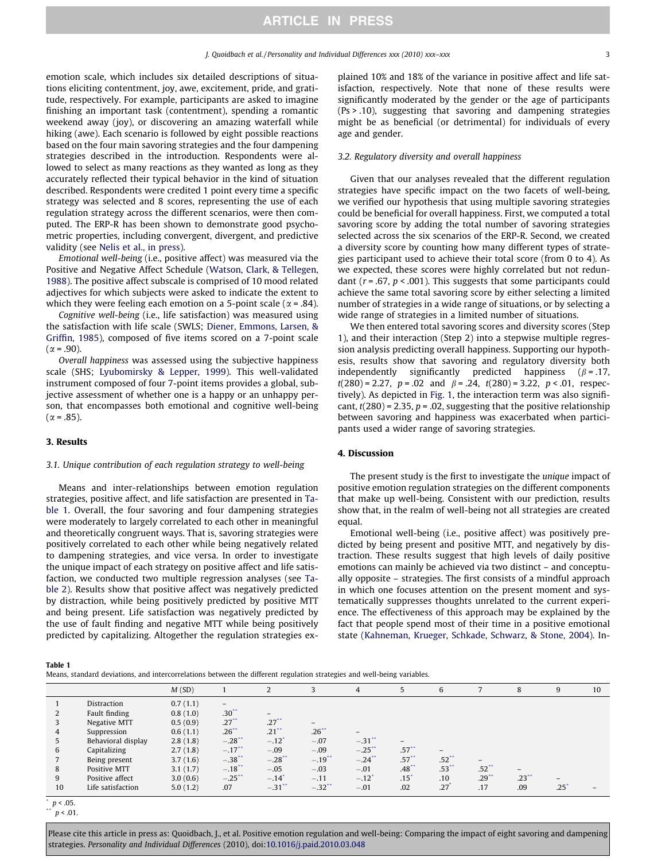emotion scale, which includes six detailed descriptions of situations eliciting contentment, joy, awe, excitement, pride, and gratitude, respectively. For example, participants are asked to imagine finishing an important task (contentment), spending a romantic weekend away (joy), or discovering an amazing waterfall while hiking (awe). Each scenario is followed by eight possible reactions based on the four main savoring strategies and the four dampening strategies described in the introduction. Respondents were allowed to select as many reactions as they wanted as long as they accurately reflected their typical behavior in the kind of situation described. Respondents were credited 1 point every time a specific strategy was selected and 8 scores, representing the use of each regulation strategy across the different scenarios, were then computed. The ERP-R has been shown to demonstrate good psychometric properties, including convergent, divergent, and predictive validity (see [Nelis et al., in press](#page-4-0)).

Emotional well-being (i.e., positive affect) was measured via the Positive and Negative Affect Schedule [\(Watson, Clark, & Tellegen,](#page-5-0) [1988\)](#page-5-0). The positive affect subscale is comprised of 10 mood related adjectives for which subjects were asked to indicate the extent to which they were feeling each emotion on a 5-point scale ( $\alpha$  = .84).

Cognitive well-being (i.e., life satisfaction) was measured using the satisfaction with life scale (SWLS; [Diener, Emmons, Larsen, &](#page-4-0) [Griffin, 1985](#page-4-0)), composed of five items scored on a 7-point scale  $(\alpha = .90)$ .

Overall happiness was assessed using the subjective happiness scale (SHS; [Lyubomirsky & Lepper, 1999](#page-4-0)). This well-validated instrument composed of four 7-point items provides a global, subjective assessment of whether one is a happy or an unhappy person, that encompasses both emotional and cognitive well-being  $(\alpha = .85)$ .

#### 3. Results

#### 3.1. Unique contribution of each regulation strategy to well-being

Means and inter-relationships between emotion regulation strategies, positive affect, and life satisfaction are presented in Table 1. Overall, the four savoring and four dampening strategies were moderately to largely correlated to each other in meaningful and theoretically congruent ways. That is, savoring strategies were positively correlated to each other while being negatively related to dampening strategies, and vice versa. In order to investigate the unique impact of each strategy on positive affect and life satisfaction, we conducted two multiple regression analyses (see [Ta](#page-3-0)[ble 2\)](#page-3-0). Results show that positive affect was negatively predicted by distraction, while being positively predicted by positive MTT and being present. Life satisfaction was negatively predicted by the use of fault finding and negative MTT while being positively predicted by capitalizing. Altogether the regulation strategies explained 10% and 18% of the variance in positive affect and life satisfaction, respectively. Note that none of these results were significantly moderated by the gender or the age of participants (Ps > .10), suggesting that savoring and dampening strategies might be as beneficial (or detrimental) for individuals of every age and gender.

### 3.2. Regulatory diversity and overall happiness

Given that our analyses revealed that the different regulation strategies have specific impact on the two facets of well-being, we verified our hypothesis that using multiple savoring strategies could be beneficial for overall happiness. First, we computed a total savoring score by adding the total number of savoring strategies selected across the six scenarios of the ERP-R. Second, we created a diversity score by counting how many different types of strategies participant used to achieve their total score (from 0 to 4). As we expected, these scores were highly correlated but not redundant ( $r = .67$ ,  $p < .001$ ). This suggests that some participants could achieve the same total savoring score by either selecting a limited number of strategies in a wide range of situations, or by selecting a wide range of strategies in a limited number of situations.

We then entered total savoring scores and diversity scores (Step 1), and their interaction (Step 2) into a stepwise multiple regression analysis predicting overall happiness. Supporting our hypothesis, results show that savoring and regulatory diversity both independently significantly predicted happiness  $(\beta = .17, )$  $t(280) = 2.27$ ,  $p = .02$  and  $\beta = .24$ ,  $t(280) = 3.22$ ,  $p < .01$ , respectively). As depicted in [Fig. 1](#page-3-0), the interaction term was also significant,  $t(280)$  = 2.35,  $p = 0.02$ , suggesting that the positive relationship between savoring and happiness was exacerbated when participants used a wider range of savoring strategies.

#### 4. Discussion

The present study is the first to investigate the unique impact of positive emotion regulation strategies on the different components that make up well-being. Consistent with our prediction, results show that, in the realm of well-being not all strategies are created equal.

Emotional well-being (i.e., positive affect) was positively predicted by being present and positive MTT, and negatively by distraction. These results suggest that high levels of daily positive emotions can mainly be achieved via two distinct – and conceptually opposite – strategies. The first consists of a mindful approach in which one focuses attention on the present moment and systematically suppresses thoughts unrelated to the current experience. The effectiveness of this approach may be explained by the fact that people spend most of their time in a positive emotional state [\(Kahneman, Krueger, Schkade, Schwarz, & Stone, 2004\)](#page-4-0). In-

Table 1

Means, standard deviations, and intercorrelations between the different regulation strategies and well-being variables.

|    |                    | M(SD)    |                      |           |                          | $\overline{4}$           |         | 6       |          | 8        | 9    | 10 |
|----|--------------------|----------|----------------------|-----------|--------------------------|--------------------------|---------|---------|----------|----------|------|----|
|    | Distraction        | 0.7(1.1) | $-$                  |           |                          |                          |         |         |          |          |      |    |
|    | Fault finding      | 0.8(1.0) | $.30**$              | $-$       |                          |                          |         |         |          |          |      |    |
|    | Negative MTT       | 0.5(0.9) | .27                  | $.27***$  | $\overline{\phantom{0}}$ |                          |         |         |          |          |      |    |
| 4  | Suppression        | 0.6(1.1) | $.26$ **             | $.21$ **  | $.26***$                 | $\overline{\phantom{0}}$ |         |         |          |          |      |    |
|    | Behavioral display | 2.8(1.8) | $-.28$ **            | $-.12"$   | $-.07$                   | $-31$ **                 |         |         |          |          |      |    |
| 6  | Capitalizing       | 2.7(1.8) | $-.17$ <sup>**</sup> | $-.09$    | $-.09$                   | $-.25$ **                | $.57**$ |         |          |          |      |    |
|    | Being present      | 3.7(1.6) | $-.38"$              | $-.28$ ** | $-.19$ <sup>**</sup>     | $-.24$ **                | $.57**$ | $.52**$ |          |          |      |    |
| 8  | Positive MTT       | 3.1(1.7) | $-.18$ **            | $-.05$    | $-.03$                   | $-.01$                   | .48     | $.53**$ | $.52**$  |          |      |    |
| 9  | Positive affect    | 3.0(0.6) | $-.25$               | $-.14"$   | $-.11$                   | $-.12$ <sup>*</sup>      | $.15^*$ | .10     | $.29$ ** | $.23$ ** |      |    |
| 10 | Life satisfaction  | 5.0(1.2) | .07                  | $-.31"$   | $-.32$ <sup>**</sup>     | $-.01$                   | .02     | .27     | .17      | .09      | .25' |    |

 $p < 0.05$ .

 $p < .01.$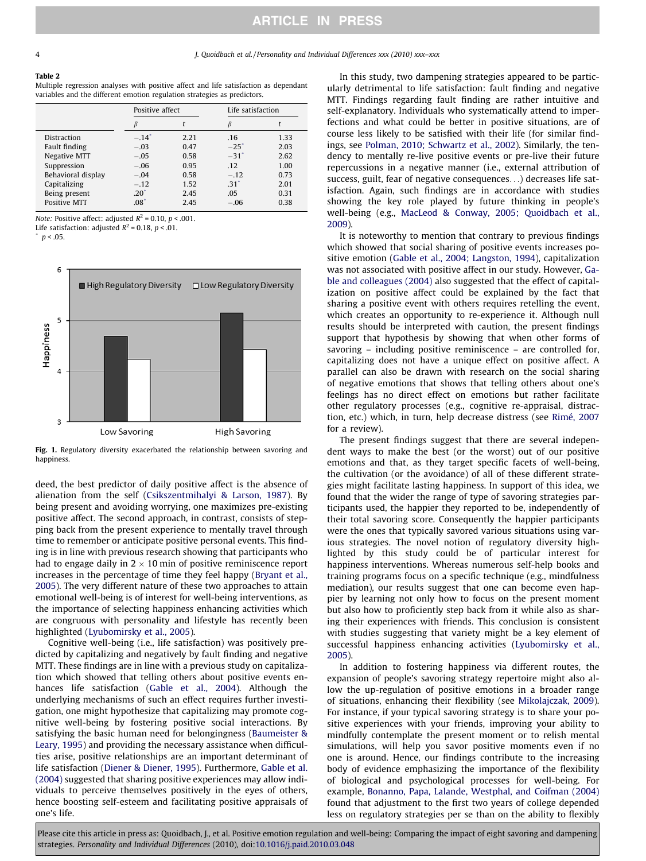#### <span id="page-3-0"></span>Table 2

Multiple regression analyses with positive affect and life satisfaction as dependant variables and the different emotion regulation strategies as predictors.

|                    | Positive affect  |      | Life satisfaction  |      |  |
|--------------------|------------------|------|--------------------|------|--|
|                    |                  |      |                    |      |  |
| <b>Distraction</b> | $-.14^{\degree}$ | 2.21 | .16                | 1.33 |  |
| Fault finding      | $-.03$           | 0.47 | $-25$ <sup>*</sup> | 2.03 |  |
| Negative MTT       | $-.05$           | 0.58 | $-31$ <sup>*</sup> | 2.62 |  |
| Suppression        | $-.06$           | 0.95 | .12                | 1.00 |  |
| Behavioral display | $-.04$           | 0.58 | $-.12$             | 0.73 |  |
| Capitalizing       | $-.12$           | 1.52 | $.31^{\circ}$      | 2.01 |  |
| Being present      | $.20^{\circ}$    | 2.45 | .05                | 0.31 |  |
| Positive MTT       | $.08*$           | 2.45 | $-.06$             | 0.38 |  |

Note: Positive affect: adjusted  $R^2$  = 0.10,  $p$  < .001.

Life satisfaction: adjusted  $R^2$  = 0.18,  $p < .01$ .

 $p < .05$ .



Fig. 1. Regulatory diversity exacerbated the relationship between savoring and happiness.

deed, the best predictor of daily positive affect is the absence of alienation from the self [\(Csikszentmihalyi & Larson, 1987\)](#page-4-0). By being present and avoiding worrying, one maximizes pre-existing positive affect. The second approach, in contrast, consists of stepping back from the present experience to mentally travel through time to remember or anticipate positive personal events. This finding is in line with previous research showing that participants who had to engage daily in  $2 \times 10$  min of positive reminiscence report increases in the percentage of time they feel happy [\(Bryant et al.,](#page-4-0) [2005\)](#page-4-0). The very different nature of these two approaches to attain emotional well-being is of interest for well-being interventions, as the importance of selecting happiness enhancing activities which are congruous with personality and lifestyle has recently been highlighted ([Lyubomirsky et al., 2005](#page-4-0)).

Cognitive well-being (i.e., life satisfaction) was positively predicted by capitalizing and negatively by fault finding and negative MTT. These findings are in line with a previous study on capitalization which showed that telling others about positive events enhances life satisfaction ([Gable et al., 2004\)](#page-4-0). Although the underlying mechanisms of such an effect requires further investigation, one might hypothesize that capitalizing may promote cognitive well-being by fostering positive social interactions. By satisfying the basic human need for belongingness [\(Baumeister &](#page-4-0) [Leary, 1995](#page-4-0)) and providing the necessary assistance when difficulties arise, positive relationships are an important determinant of life satisfaction [\(Diener & Diener, 1995\)](#page-4-0). Furthermore, [Gable et al.](#page-4-0) [\(2004\)](#page-4-0) suggested that sharing positive experiences may allow individuals to perceive themselves positively in the eyes of others, hence boosting self-esteem and facilitating positive appraisals of one's life.

In this study, two dampening strategies appeared to be particularly detrimental to life satisfaction: fault finding and negative MTT. Findings regarding fault finding are rather intuitive and self-explanatory. Individuals who systematically attend to imperfections and what could be better in positive situations, are of course less likely to be satisfied with their life (for similar findings, see [Polman, 2010; Schwartz et al., 2002](#page-4-0)). Similarly, the tendency to mentally re-live positive events or pre-live their future repercussions in a negative manner (i.e., external attribution of success, guilt, fear of negative consequences...) decreases life satisfaction. Again, such findings are in accordance with studies showing the key role played by future thinking in people's well-being (e.g., [MacLeod & Conway, 2005; Quoidbach et al.,](#page-4-0) [2009\)](#page-4-0).

It is noteworthy to mention that contrary to previous findings which showed that social sharing of positive events increases positive emotion ([Gable et al., 2004; Langston, 1994\)](#page-4-0), capitalization was not associated with positive affect in our study. However, [Ga](#page-4-0)[ble and colleagues \(2004\)](#page-4-0) also suggested that the effect of capitalization on positive affect could be explained by the fact that sharing a positive event with others requires retelling the event, which creates an opportunity to re-experience it. Although null results should be interpreted with caution, the present findings support that hypothesis by showing that when other forms of savoring – including positive reminiscence – are controlled for, capitalizing does not have a unique effect on positive affect. A parallel can also be drawn with research on the social sharing of negative emotions that shows that telling others about one's feelings has no direct effect on emotions but rather facilitate other regulatory processes (e.g., cognitive re-appraisal, distraction, etc.) which, in turn, help decrease distress (see [Rimé, 2007](#page-4-0) for a review).

The present findings suggest that there are several independent ways to make the best (or the worst) out of our positive emotions and that, as they target specific facets of well-being, the cultivation (or the avoidance) of all of these different strategies might facilitate lasting happiness. In support of this idea, we found that the wider the range of type of savoring strategies participants used, the happier they reported to be, independently of their total savoring score. Consequently the happier participants were the ones that typically savored various situations using various strategies. The novel notion of regulatory diversity highlighted by this study could be of particular interest for happiness interventions. Whereas numerous self-help books and training programs focus on a specific technique (e.g., mindfulness mediation), our results suggest that one can become even happier by learning not only how to focus on the present moment but also how to proficiently step back from it while also as sharing their experiences with friends. This conclusion is consistent with studies suggesting that variety might be a key element of successful happiness enhancing activities [\(Lyubomirsky et al.,](#page-4-0) [2005\)](#page-4-0).

In addition to fostering happiness via different routes, the expansion of people's savoring strategy repertoire might also allow the up-regulation of positive emotions in a broader range of situations, enhancing their flexibility (see [Mikolajczak, 2009\)](#page-4-0). For instance, if your typical savoring strategy is to share your positive experiences with your friends, improving your ability to mindfully contemplate the present moment or to relish mental simulations, will help you savor positive moments even if no one is around. Hence, our findings contribute to the increasing body of evidence emphasizing the importance of the flexibility of biological and psychological processes for well-being. For example, [Bonanno, Papa, Lalande, Westphal, and Coifman \(2004\)](#page-4-0) found that adjustment to the first two years of college depended less on regulatory strategies per se than on the ability to flexibly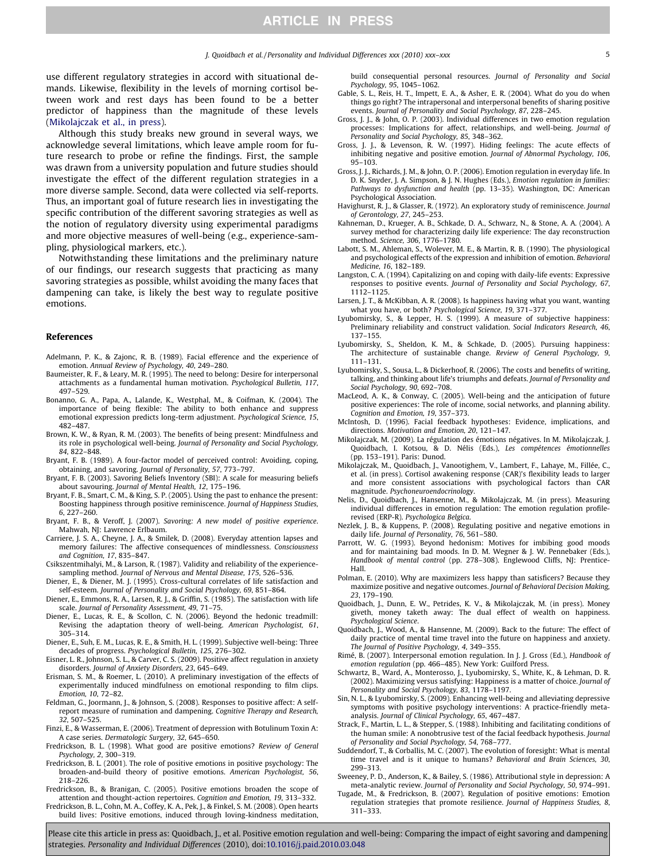<span id="page-4-0"></span>use different regulatory strategies in accord with situational demands. Likewise, flexibility in the levels of morning cortisol between work and rest days has been found to be a better predictor of happiness than the magnitude of these levels (Mikolajczak et al., in press).

Although this study breaks new ground in several ways, we acknowledge several limitations, which leave ample room for future research to probe or refine the findings. First, the sample was drawn from a university population and future studies should investigate the effect of the different regulation strategies in a more diverse sample. Second, data were collected via self-reports. Thus, an important goal of future research lies in investigating the specific contribution of the different savoring strategies as well as the notion of regulatory diversity using experimental paradigms and more objective measures of well-being (e.g., experience-sampling, physiological markers, etc.).

Notwithstanding these limitations and the preliminary nature of our findings, our research suggests that practicing as many savoring strategies as possible, whilst avoiding the many faces that dampening can take, is likely the best way to regulate positive emotions.

#### References

- Adelmann, P. K., & Zajonc, R. B. (1989). Facial efference and the experience of emotion. Annual Review of Psychology, 40, 249–280.
- Baumeister, R. F., & Leary, M. R. (1995). The need to belong: Desire for interpersonal attachments as a fundamental human motivation. Psychological Bulletin, 117, 497–529.
- Bonanno, G. A., Papa, A., Lalande, K., Westphal, M., & Coifman, K. (2004). The importance of being flexible: The ability to both enhance and suppress emotional expression predicts long-term adjustment. Psychological Science, 15, 482–487.
- Brown, K. W., & Ryan, R. M. (2003). The benefits of being present: Mindfulness and its role in psychological well-being. Journal of Personality and Social Psychology, 84, 822–848.
- Bryant, F. B. (1989). A four-factor model of perceived control: Avoiding, coping, obtaining, and savoring. Journal of Personality, 57, 773–797.
- Bryant, F. B. (2003). Savoring Beliefs Inventory (SBI): A scale for measuring beliefs about savouring. Journal of Mental Health, 12, 175–196.
- Bryant, F. B., Smart, C. M., & King, S. P. (2005). Using the past to enhance the present: Boosting happiness through positive reminiscence. Journal of Happiness Studies, 6, 227–260.
- Bryant, F. B., & Veroff, J. (2007). Savoring: A new model of positive experience. Mahwah, NJ: Lawrence Erlbaum.
- Carriere, J. S. A., Cheyne, J. A., & Smilek, D. (2008). Everyday attention lapses and memory failures: The affective consequences of mindlessness. Consciousness and Cognition, 17, 835–847.
- Csikszentmihalyi, M., & Larson, R. (1987). Validity and reliability of the experiencesampling method. Journal of Nervous and Mental Disease, 175, 526–536.
- Diener, E., & Diener, M. J. (1995). Cross-cultural correlates of life satisfaction and self-esteem. Journal of Personality and Social Psychology, 69, 851–864.
- Diener, E., Emmons, R. A., Larsen, R. J., & Griffin, S. (1985). The satisfaction with life scale. Journal of Personality Assessment, 49, 71–75.
- Diener, E., Lucas, R. E., & Scollon, C. N. (2006). Beyond the hedonic treadmill: Revising the adaptation theory of well-being. American Psychologist, 61, 305–314.
- Diener, E., Suh, E. M., Lucas, R. E., & Smith, H. L. (1999). Subjective well-being: Three decades of progress. Psychological Bulletin, 125, 276–302.
- Eisner, L. R., Johnson, S. L., & Carver, C. S. (2009). Positive affect regulation in anxiety disorders. Journal of Anxiety Disorders, 23, 645–649.
- Erisman, S. M., & Roemer, L. (2010). A preliminary investigation of the effects of experimentally induced mindfulness on emotional responding to film clips. Emotion, 10, 72–82.
- Feldman, G., Joormann, J., & Johnson, S. (2008). Responses to positive affect: A selfreport measure of rumination and dampening. Cognitive Therapy and Research, 32, 507–525.
- Finzi, E., & Wasserman, E. (2006). Treatment of depression with Botulinum Toxin A: A case series. Dermatologic Surgery, 32, 645–650.
- Fredrickson, B. L. (1998). What good are positive emotions? Review of General Psychology, 2, 300–319.
- Fredrickson, B. L. (2001). The role of positive emotions in positive psychology: The broaden-and-build theory of positive emotions. American Psychologist, 56, 218–226.
- Fredrickson, B., & Branigan, C. (2005). Positive emotions broaden the scope of attention and thought-action repertoires. Cognition and Emotion, 19, 313–332. Fredrickson, B. L., Cohn, M. A., Coffey, K. A., Pek, J., & Finkel, S. M. (2008). Open hearts
- build lives: Positive emotions, induced through loving-kindness meditation,

build consequential personal resources. Journal of Personality and Social Psychology, 95, 1045–1062.

- Gable, S. L., Reis, H. T., Impett, E. A., & Asher, E. R. (2004). What do you do when things go right? The intrapersonal and interpersonal benefits of sharing positive events. Journal of Personality and Social Psychology, 87, 228–245.
- Gross, J. J., & John, O. P. (2003). Individual differences in two emotion regulation processes: Implications for affect, relationships, and well-being. Journal of Personality and Social Psychology, 85, 348–362.
- Gross, J. J., & Levenson, R. W. (1997). Hiding feelings: The acute effects of inhibiting negative and positive emotion. Journal of Abnormal Psychology, 106, 95–103.
- Gross, J. J., Richards, J. M., & John, O. P. (2006). Emotion regulation in everyday life. In D. K. Snyder, J. A. Simpson, & J. N. Hughes (Eds.), Emotion regulation in families: Pathways to dysfunction and health (pp. 13–35). Washington, DC: American Psychological Association.
- Havighurst, R. J., & Glasser, R. (1972). An exploratory study of reminiscence. Journal of Gerontology, 27, 245–253.
- Kahneman, D., Krueger, A. B., Schkade, D. A., Schwarz, N., & Stone, A. A. (2004). A survey method for characterizing daily life experience: The day reconstruction method. Science, 306, 1776–1780.
- Labott, S. M., Ahleman, S., Wolever, M. E., & Martin, R. B. (1990). The physiological and psychological effects of the expression and inhibition of emotion. Behavioral Medicine, 16, 182–189.
- Langston, C. A. (1994). Capitalizing on and coping with daily-life events: Expressive responses to positive events. Journal of Personality and Social Psychology, 67, 1112–1125.
- Larsen, J. T., & McKibban, A. R. (2008). Is happiness having what you want, wanting what you have, or both? Psychological Science, 19, 371–377.
- Lyubomirsky, S., & Lepper, H. S. (1999). A measure of subjective happiness: Preliminary reliability and construct validation. Social Indicators Research, 46, 137–155.
- Lyubomirsky, S., Sheldon, K. M., & Schkade, D. (2005). Pursuing happiness: The architecture of sustainable change. Review of General Psychology, 9, 111–131.
- Lyubomirsky, S., Sousa, L., & Dickerhoof, R. (2006). The costs and benefits of writing, talking, and thinking about life's triumphs and defeats. Journal of Personality and Social Psychology, 90, 692–708.
- MacLeod, A. K., & Conway, C. (2005). Well-being and the anticipation of future positive experiences: The role of income, social networks, and planning ability. Cognition and Emotion, 19, 357–373.
- McIntosh, D. (1996). Facial feedback hypotheses: Evidence, implications, and directions. Motivation and Emotion, 20, 121–147.
- Mikolajczak, M. (2009). La régulation des émotions négatives. In M. Mikolajczak, J. Quoidbach, I. Kotsou, & D. Nélis (Eds.), Les compétences émotionnelles (pp. 153–191). Paris: Dunod.
- Mikolajczak, M., Quoidbach, J., Vanootighem, V., Lambert, F., Lahaye, M., Fillée, C., et al. (in press). Cortisol awakening response (CAR)'s flexibility leads to larger and more consistent associations with psychological factors than CAR magnitude. Psychoneuroendocrinology.
- Nelis, D., Quoidbach, J., Hansenne, M., & Mikolajczak, M. (in press). Measuring individual differences in emotion regulation: The emotion regulation profilerevised (ERP-R). Psychologica Belgica.
- Nezlek, J. B., & Kuppens, P. (2008). Regulating positive and negative emotions in daily life. Journal of Personality, 76, 561–580.
- Parrott, W. G. (1993). Beyond hedonism: Motives for imbibing good moods and for maintaining bad moods. In D. M. Wegner & J. W. Pennebaker (Eds.), Handbook of mental control (pp. 278–308). Englewood Cliffs, NJ: Prentice-Hall.
- Polman, E. (2010). Why are maximizers less happy than satisficers? Because they maximize positive and negative outcomes. Journal of Behavioral Decision Making, 23, 179–190.
- Quoidbach, J., Dunn, E. W., Petrides, K. V., & Mikolajczak, M. (in press). Money giveth, money taketh away: The dual effect of wealth on happiness. Psychological Science.
- Quoidbach, J., Wood, A., & Hansenne, M. (2009). Back to the future: The effect of daily practice of mental time travel into the future on happiness and anxiety. The Journal of Positive Psychology, 4, 349–355.
- Rimé, B. (2007). Interpersonal emotion regulation. In J. J. Gross (Ed.), Handbook of emotion regulation (pp. 466–485). New York: Guilford Press.
- Schwartz, B., Ward, A., Monterosso, J., Lyubomirsky, S., White, K., & Lehman, D. R. (2002). Maximizing versus satisfying: Happiness is a matter of choice. Journal of Personality and Social Psychology, 83, 1178–1197.
- Sin, N. L., & Lyubomirsky, S. (2009). Enhancing well-being and alleviating depressive symptoms with positive psychology interventions: A practice-friendly metaanalysis. Journal of Clinical Psychology, 65, 467–487.
- Strack, F., Martin, L. L., & Stepper, S. (1988). Inhibiting and facilitating conditions of the human smile: A nonobtrusive test of the facial feedback hypothesis. Journal
- of Personality and Social Psychology, 54, 768–777. Suddendorf, T., & Corballis, M. C. (2007). The evolution of foresight: What is mental time travel and is it unique to humans? Behavioral and Brain Sciences, 30, 299–313.
- Sweeney, P. D., Anderson, K., & Bailey, S. (1986). Attributional style in depression: A meta-analytic review. Journal of Personality and Social Psychology, 50, 974–991.
- Tugade, M., & Fredrickson, B. (2007). Regulation of positive emotions: Emotion regulation strategies that promote resilience. Journal of Happiness Studies, 8, 311–333.